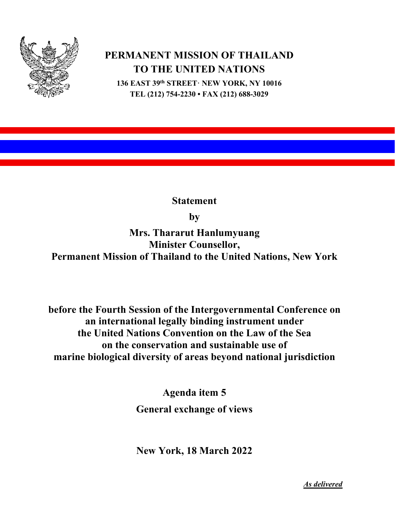

## **PERMANENT MISSION OF THAILAND TO THE UNITED NATIONS**

**136 EAST 39th STREET· NEW YORK, NY 10016 TEL (212) 754-2230 • FAX (212) 688-3029**

**Statement**

**by**

**Mrs. Thararut Hanlumyuang Minister Counsellor, Permanent Mission of Thailand to the United Nations, New York**

**before the Fourth Session of the Intergovernmental Conference on an international legally binding instrument under the United Nations Convention on the Law of the Sea on the conservation and sustainable use of marine biological diversity of areas beyond national jurisdiction**

> **Agenda item 5 General exchange of views**

> **New York, 18 March 2022**

*As delivered*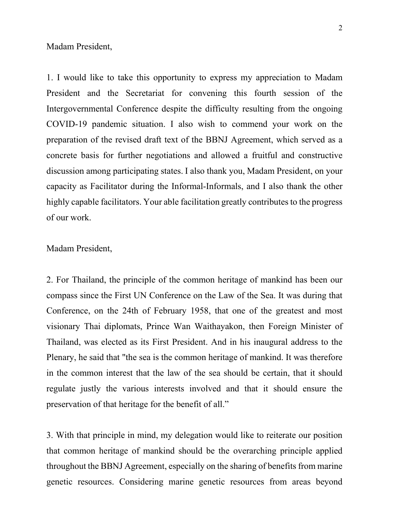Madam President,

1. I would like to take this opportunity to express my appreciation to Madam President and the Secretariat for convening this fourth session of the Intergovernmental Conference despite the difficulty resulting from the ongoing COVID-19 pandemic situation. I also wish to commend your work on the preparation of the revised draft text of the BBNJ Agreement, which served as a concrete basis for further negotiations and allowed a fruitful and constructive discussion among participating states. I also thank you, Madam President, on your capacity as Facilitator during the Informal-Informals, and I also thank the other highly capable facilitators. Your able facilitation greatly contributes to the progress of our work.

## Madam President,

2. For Thailand, the principle of the common heritage of mankind has been our compass since the First UN Conference on the Law of the Sea. It was during that Conference, on the 24th of February 1958, that one of the greatest and most visionary Thai diplomats, Prince Wan Waithayakon, then Foreign Minister of Thailand, was elected as its First President. And in his inaugural address to the Plenary, he said that "the sea is the common heritage of mankind. It was therefore in the common interest that the law of the sea should be certain, that it should regulate justly the various interests involved and that it should ensure the preservation of that heritage for the benefit of all."

3. With that principle in mind, my delegation would like to reiterate our position that common heritage of mankind should be the overarching principle applied throughout the BBNJ Agreement, especially on the sharing of benefits from marine genetic resources. Considering marine genetic resources from areas beyond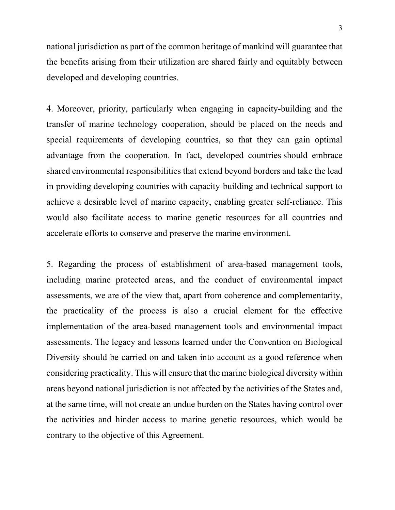national jurisdiction as part of the common heritage of mankind will guarantee that the benefits arising from their utilization are shared fairly and equitably between developed and developing countries.

4. Moreover, priority, particularly when engaging in capacity-building and the transfer of marine technology cooperation, should be placed on the needs and special requirements of developing countries, so that they can gain optimal advantage from the cooperation. In fact, developed countries should embrace shared environmental responsibilities that extend beyond borders and take the lead in providing developing countries with capacity-building and technical support to achieve a desirable level of marine capacity, enabling greater self-reliance. This would also facilitate access to marine genetic resources for all countries and accelerate efforts to conserve and preserve the marine environment.

5. Regarding the process of establishment of area-based management tools, including marine protected areas, and the conduct of environmental impact assessments, we are of the view that, apart from coherence and complementarity, the practicality of the process is also a crucial element for the effective implementation of the area-based management tools and environmental impact assessments. The legacy and lessons learned under the Convention on Biological Diversity should be carried on and taken into account as a good reference when considering practicality. This will ensure that the marine biological diversity within areas beyond national jurisdiction is not affected by the activities of the States and, at the same time, will not create an undue burden on the States having control over the activities and hinder access to marine genetic resources, which would be contrary to the objective of this Agreement.